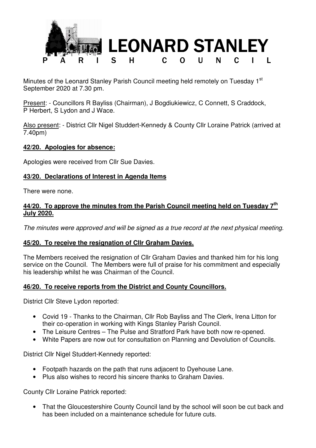

Minutes of the Leonard Stanley Parish Council meeting held remotely on Tuesday 1<sup>st</sup> September 2020 at 7.30 pm.

Present: - Councillors R Bayliss (Chairman), J Bogdiukiewicz, C Connett, S Craddock, P Herbert, S Lydon and J Wace.

Also present: - District Cllr Nigel Studdert-Kennedy & County Cllr Loraine Patrick (arrived at 7.40pm)

### **42/20. Apologies for absence:**

Apologies were received from Cllr Sue Davies.

# **43/20. Declarations of Interest in Agenda Items**

There were none.

# **44/20. To approve the minutes from the Parish Council meeting held on Tuesday 7th July 2020.**

The minutes were approved and will be signed as a true record at the next physical meeting.

# **45/20. To receive the resignation of Cllr Graham Davies.**

The Members received the resignation of Cllr Graham Davies and thanked him for his long service on the Council. The Members were full of praise for his commitment and especially his leadership whilst he was Chairman of the Council.

# **46/20. To receive reports from the District and County Councillors.**

District Cllr Steve Lydon reported:

- Covid 19 Thanks to the Chairman, Cllr Rob Bayliss and The Clerk, Irena Litton for their co-operation in working with Kings Stanley Parish Council.
- The Leisure Centres The Pulse and Stratford Park have both now re-opened.
- White Papers are now out for consultation on Planning and Devolution of Councils.

District Cllr Nigel Studdert-Kennedy reported:

- Footpath hazards on the path that runs adjacent to Dyehouse Lane.
- Plus also wishes to record his sincere thanks to Graham Davies.

County Cllr Loraine Patrick reported:

• That the Gloucestershire County Council land by the school will soon be cut back and has been included on a maintenance schedule for future cuts.